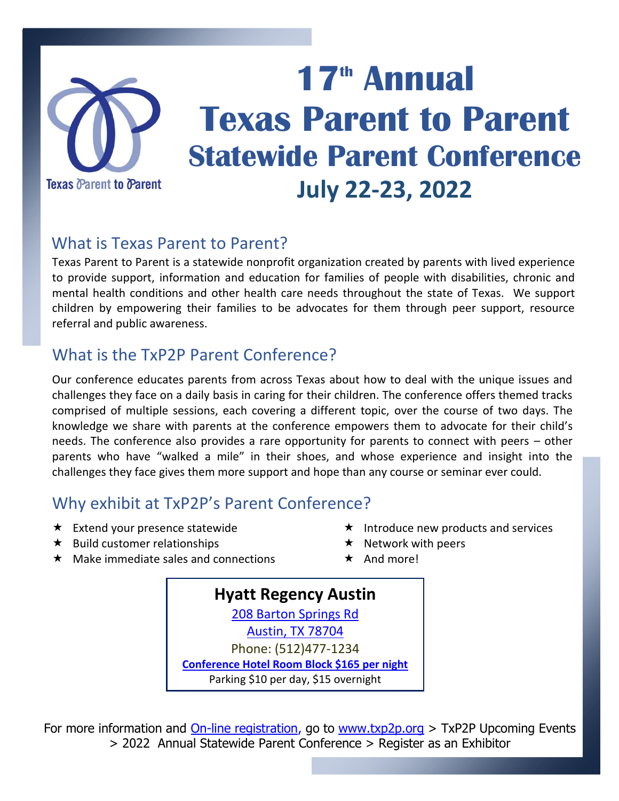

# **17 th Annual Texas Parent to Parent Statewide Parent Conference July 22-23, 2022**

### What is Texas Parent to Parent?

Texas Parent to Parent is a statewide nonprofit organization created by parents with lived experience to provide support, information and education for families of people with disabilities, chronic and mental health conditions and other health care needs throughout the state of Texas. We support children by empowering their families to be advocates for them through peer support, resource referral and public awareness.

## What is the TxP2P Parent Conference?

Our conference educates parents from across Texas about how to deal with the unique issues and challenges they face on a daily basis in caring for their children. The conference offers themed tracks comprised of multiple sessions, each covering a different topic, over the course of two days. The knowledge we share with parents at the conference empowers them to advocate for their child's needs. The conference also provides a rare opportunity for parents to connect with peers – other parents who have "walked a mile" in their shoes, and whose experience and insight into the challenges they face gives them more support and hope than any course or seminar ever could.

#### Why exhibit at TxP2P's Parent Conference?

- $\star$  Extend your presence statewide
- $\star$  Build customer relationships
- $\star$  Introduce new products and services
- $\star$  Network with peers
- $\star$  Make immediate sales and connections
- $\star$  And more!

**Hyatt Regency Austin** [208 Barton Springs Rd](https://goo.gl/maps/DkqM9UA3cBtyFECo7) [Austin, TX 78704](https://goo.gl/maps/DkqM9UA3cBtyFECo7) Phone: (512)477-1234 **[Conference Hotel Room Block \\$165 per night](https://www.hyatt.com/en-US/group-booking/AUSRA/G-GTPP)** Parking \$10 per day, \$15 overnight

For more information and **On-line registration**, go to [www.txp2p.org](http://www.txp2p.org/) > TxP2P Upcoming Events > 2022 Annual Statewide Parent Conference > Register as an Exhibitor